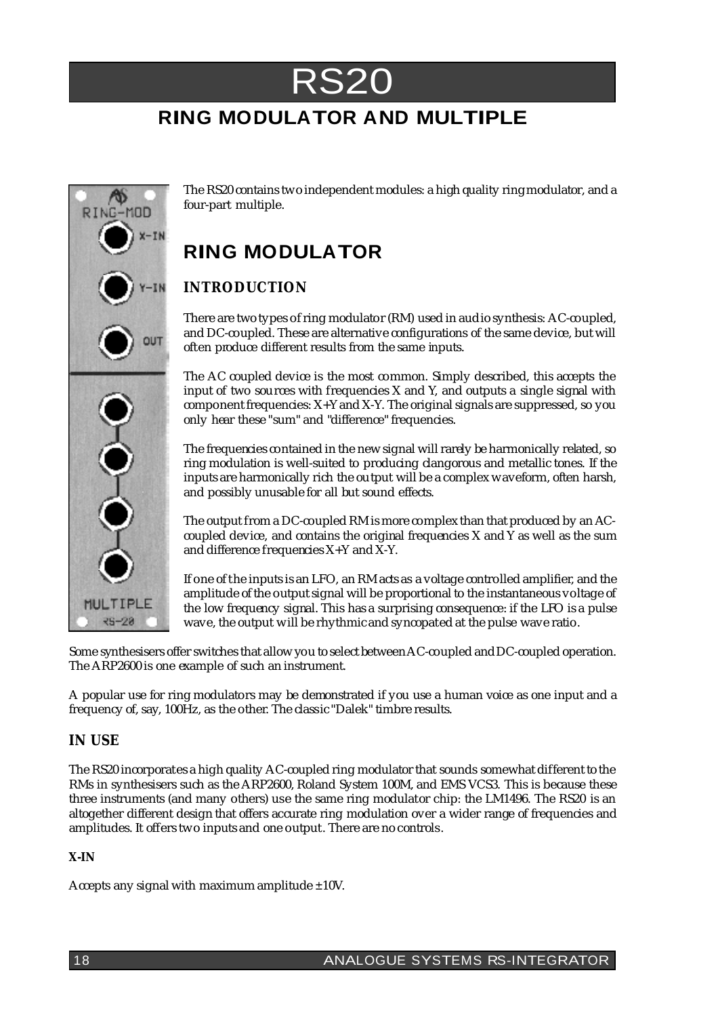

## **RING MODULATOR AND MULTIPLE**



The RS20 contains two independent modules: a high quality ringmodulator, and a four-part multiple.

# **RING MODULATOR**

### **INTRODUCTION**

There are two types ofring modulator (RM) used in audio synthesis: AC-coupled, and DC-coupled. These are alternative configurations of the same device, butwill often produce different results from the same inputs.

The AC coupled device is the most common. Simply described, this accepts the input of two sources with frequencies X and Y, and outputs a single signal with component frequencies:  $X+Y$  and  $X-Y$ . The original signals are suppressed, so you only hear these "sum" and "difference" frequencies.

The frequencies contained in the newsignal will rarely be harmonically related, so ring modulation is well-suited to producing clangorous and metallic tones. If the inputs are harmonically rich the output will be a complexwaveform, often harsh, and possibly unusable for all but sound effects.

The output from a DC-coupled RMis more complex than that produced by an ACcoupled device, and contains the original frequencies X and Y as well as the sum and difference frequencies  $X+Y$  and  $X-Y$ .

If one of the inputs is an LFO, an RMacts as a voltage controlled amplifier, and the amplitude of the output signal will be proportional to the instantaneous voltage of the low frequency signal. This has a surprising consequence: if the LFO is a pulse wave, the output will be rhythmic and syncopated at the pulse wave ratio.

Some synthesisers offer switches that allowyou to select betweenAC-coupled andDC-coupled operation. The ARP2600 is one example of such an instrument.

A popular use for ring modulators may be demonstrated if you use a human voice as one input and a frequency of, say, 100Hz, as the other. The classic "Dalek" timbre results.

#### **IN USE**

The RS20 incorporates a high quality AC-coupled ring modulator that sounds somewhat different to the RMs in synthesisers such as the ARP2600, Roland System 100M, and EMS VCS3. This is because these three instruments (and many others) use the same ring modulator chip: the LM1496. The RS20 is an altogether different design that offers accurate ring modulation over a wider range of frequencies and amplitudes. It offers two inputs and one output. There are no controls.

#### **X-IN**

Accepts any signal with maximum amplitude  $\pm 10V$ .